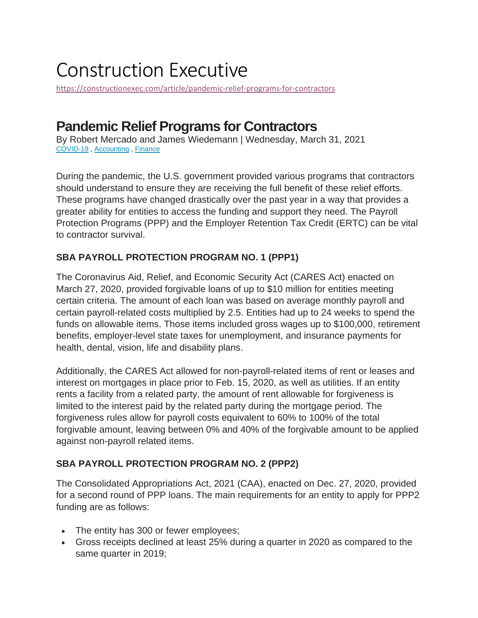# Construction Executive

<https://constructionexec.com/article/pandemic-relief-programs-for-contractors>

## **Pandemic Relief Programs for Contractors**

By Robert Mercado and James Wiedemann | Wednesday, March 31, 2021 [COVID-19](https://constructionexec.com/searchTags.aspx?searchTagName=COVID-19) , [Accounting](https://constructionexec.com/searchTags.aspx?searchTagName=Accounting) , [Finance](https://constructionexec.com/searchTags.aspx?searchTagName=Finance)

During the pandemic, the U.S. government provided various programs that contractors should understand to ensure they are receiving the full benefit of these relief efforts. These programs have changed drastically over the past year in a way that provides a greater ability for entities to access the funding and support they need. The Payroll Protection Programs (PPP) and the Employer Retention Tax Credit (ERTC) can be vital to contractor survival.

## **SBA PAYROLL PROTECTION PROGRAM NO. 1 (PPP1)**

The Coronavirus Aid, Relief, and Economic Security Act (CARES Act) enacted on March 27, 2020, provided forgivable loans of up to \$10 million for entities meeting certain criteria. The amount of each loan was based on average monthly payroll and certain payroll-related costs multiplied by 2.5. Entities had up to 24 weeks to spend the funds on allowable items. Those items included gross wages up to \$100,000, retirement benefits, employer-level state taxes for unemployment, and insurance payments for health, dental, vision, life and disability plans.

Additionally, the CARES Act allowed for non-payroll-related items of rent or leases and interest on mortgages in place prior to Feb. 15, 2020, as well as utilities. If an entity rents a facility from a related party, the amount of rent allowable for forgiveness is limited to the interest paid by the related party during the mortgage period. The forgiveness rules allow for payroll costs equivalent to 60% to 100% of the total forgivable amount, leaving between 0% and 40% of the forgivable amount to be applied against non-payroll related items.

## **SBA PAYROLL PROTECTION PROGRAM NO. 2 (PPP2)**

The Consolidated Appropriations Act, 2021 (CAA), enacted on Dec. 27, 2020, provided for a second round of PPP loans. The main requirements for an entity to apply for PPP2 funding are as follows:

- The entity has 300 or fewer employees;
- Gross receipts declined at least 25% during a quarter in 2020 as compared to the same quarter in 2019;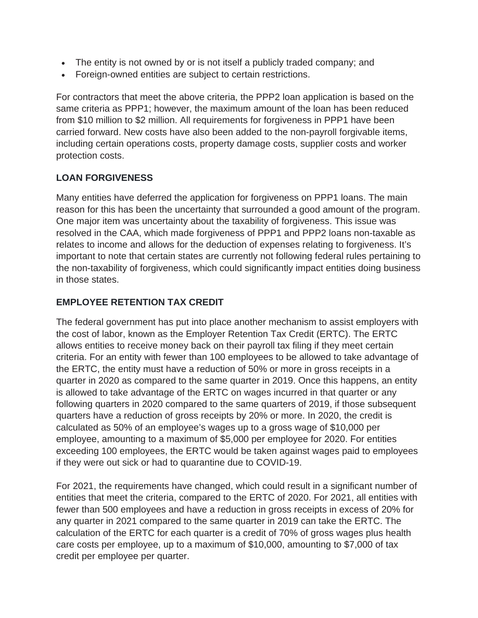- The entity is not owned by or is not itself a publicly traded company; and
- Foreign-owned entities are subject to certain restrictions.

For contractors that meet the above criteria, the PPP2 loan application is based on the same criteria as PPP1; however, the maximum amount of the loan has been reduced from \$10 million to \$2 million. All requirements for forgiveness in PPP1 have been carried forward. New costs have also been added to the non-payroll forgivable items, including certain operations costs, property damage costs, supplier costs and worker protection costs.

## **LOAN FORGIVENESS**

Many entities have deferred the application for forgiveness on PPP1 loans. The main reason for this has been the uncertainty that surrounded a good amount of the program. One major item was uncertainty about the taxability of forgiveness. This issue was resolved in the CAA, which made forgiveness of PPP1 and PPP2 loans non-taxable as relates to income and allows for the deduction of expenses relating to forgiveness. It's important to note that certain states are currently not following federal rules pertaining to the non-taxability of forgiveness, which could significantly impact entities doing business in those states.

#### **EMPLOYEE RETENTION TAX CREDIT**

The federal government has put into place another mechanism to assist employers with the cost of labor, known as the Employer Retention Tax Credit (ERTC). The ERTC allows entities to receive money back on their payroll tax filing if they meet certain criteria. For an entity with fewer than 100 employees to be allowed to take advantage of the ERTC, the entity must have a reduction of 50% or more in gross receipts in a quarter in 2020 as compared to the same quarter in 2019. Once this happens, an entity is allowed to take advantage of the ERTC on wages incurred in that quarter or any following quarters in 2020 compared to the same quarters of 2019, if those subsequent quarters have a reduction of gross receipts by 20% or more. In 2020, the credit is calculated as 50% of an employee's wages up to a gross wage of \$10,000 per employee, amounting to a maximum of \$5,000 per employee for 2020. For entities exceeding 100 employees, the ERTC would be taken against wages paid to employees if they were out sick or had to quarantine due to COVID-19.

For 2021, the requirements have changed, which could result in a significant number of entities that meet the criteria, compared to the ERTC of 2020. For 2021, all entities with fewer than 500 employees and have a reduction in gross receipts in excess of 20% for any quarter in 2021 compared to the same quarter in 2019 can take the ERTC. The calculation of the ERTC for each quarter is a credit of 70% of gross wages plus health care costs per employee, up to a maximum of \$10,000, amounting to \$7,000 of tax credit per employee per quarter.